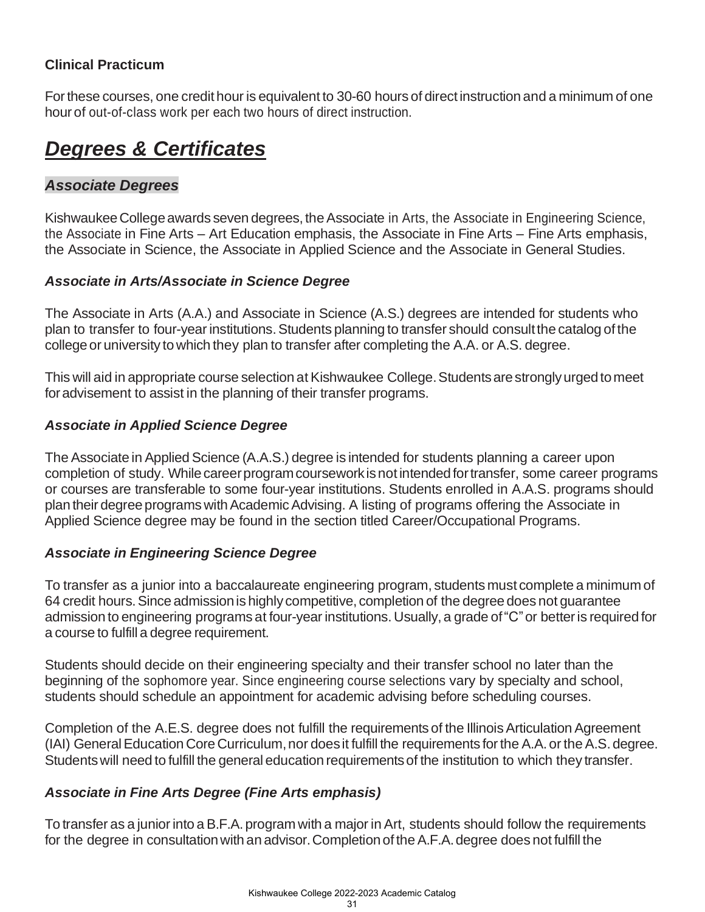# *Degrees & Certificates*

# *Associate Degrees*

Kishwaukee College awards seven degrees, the Associate in Arts, the Associate in Engineering Science, the Associate in Fine Arts – Art Education emphasis, the Associate in Fine Arts – Fine Arts emphasis, the Associate in Science, the Associate in Applied Science and the Associate in General Studies.

### *Associate in Arts/Associate in Science Degree*

The Associate in Arts (A.A.) and Associate in Science (A.S.) degrees are intended for students who plan to transfer to four-yearinstitutions.Students planning to transfer should consultthe catalog ofthe college or university to which they plan to transfer after completing the A.A. or A.S. degree.

This will aid in appropriate course selection at Kishwaukee College. Students are strongly urged to meet for advisement to assist in the planning of their transfer programs.

#### *Associate in Applied Science Degree*

The Associate in Applied Science (A.A.S.) degree is intended for students planning a career upon completion of study. While career program coursework is not intended for transfer, some career programs or courses are transferable to some four-year institutions. Students enrolled in A.A.S. programs should plan their degree programs with Academic Advising. A listing of programs offering the Associate in Applied Science degree may be found in the section titled Career/Occupational Programs.

#### *Associate in Engineering Science Degree*

To transfer as a junior into a baccalaureate engineering program, students must complete a minimum of 64 credit hours.Since admissionis highly competitive, completion of the degree does not guarantee admission to engineering programs at four-year institutions.Usually, a grade of"C"or betteris required for a course to fulfill a degree requirement.

Students should decide on their engineering specialty and their transfer school no later than the beginning of the sophomore year. Since engineering course selections vary by specialty and school, students should schedule an appointment for academic advising before scheduling courses.

Completion of the A.E.S. degree does not fulfill the requirements of the IllinoisArticulation Agreement (IAI) GeneralEducation Core Curriculum,nor doesit fulfill the requirements forthe A.A.or theA.S. degree. Studentswill need to fulfill the general education requirementsof the institution to which they transfer.

#### *Associate in Fine Arts Degree (Fine Arts emphasis)*

To transfer as a junior into a B.F.A. program with a major in Art, students should follow the requirements for the degree in consultation with an advisor. Completion of the A.F.A. degree does not fulfill the